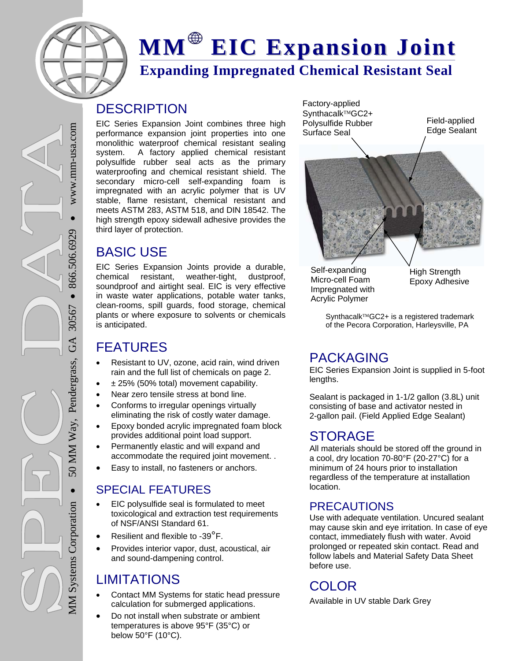

## **Expanding Impregnated Chemical Resistant Seal MM EIC Expansion Joint**

## **DESCRIPTION**

EIC Series Expansion Joint combines three high performance expansion joint properties into one monolithic waterproof chemical resistant sealing system. A factory applied chemical resistant polysulfide rubber seal acts as the primary waterproofing and chemical resistant shield. The secondary micro-cell self-expanding foam is impregnated with an acrylic polymer that is UV stable, flame resistant, chemical resistant and meets ASTM 283, ASTM 518, and DIN 18542. The high strength epoxy sidewall adhesive provides the third layer of protection.

## BASIC USE

EIC Series Expansion Joints provide a durable, chemical resistant, weather-tight, dustproof, soundproof and airtight seal. EIC is very effective in waste water applications, potable water tanks, clean-rooms, spill guards, food storage, chemical plants or where exposure to solvents or chemicals is anticipated.

## FEATURES

- Resistant to UV, ozone, acid rain, wind driven rain and the full list of chemicals on page 2.
- ± 25% (50% total) movement capability.
- Near zero tensile stress at bond line.
- Conforms to irregular openings virtually eliminating the risk of costly water damage.
- Epoxy bonded acrylic impregnated foam block provides additional point load support.
- Permanently elastic and will expand and accommodate the required joint movement. .
- Easy to install, no fasteners or anchors.

## SPECIAL FEATURES

- EIC polysulfide seal is formulated to meet toxicological and extraction test requirements of NSF/ANSI Standard 61.
- Resilient and flexible to -39°F.
- Provides interior vapor, dust, acoustical, air and sound-dampening control.

## LIMITATIONS

- Contact MM Systems for static head pressure calculation for submerged applications.
- Do not install when substrate or ambient temperatures is above 95°F (35°C) or below 50°F (10°C).

Factory-applied Synthacalk™GC2+ Polysulfide Rubber Surface Seal



Self-expanding Micro-cell Foam Impregnated with Acrylic Polymer

High Strength Epoxy Adhesive

Field-applied Edge Sealant

Synthacalk<sup>™</sup>GC2+ is a registered trademark of the Pecora Corporation, Harleysville, PA

## PACKAGING

EIC Series Expansion Joint is supplied in 5-foot lengths.

Sealant is packaged in 1-1/2 gallon (3.8L) unit consisting of base and activator nested in 2-gallon pail. (Field Applied Edge Sealant)

## STORAGE

All materials should be stored off the ground in a cool, dry location 70-80°F (20-27°C) for a minimum of 24 hours prior to installation regardless of the temperature at installation location.

## PRECAUTIONS

Use with adequate ventilation. Uncured sealant may cause skin and eye irritation. In case of eye contact, immediately flush with water. Avoid prolonged or repeated skin contact. Read and follow labels and Material Safety Data Sheet before use.

## COLOR

Available in UV stable Dark Grey

 $\bullet$  www.mm-usa.com www.mm-usa.com  $866.506.6929$ 866.506.6929 • 50 MM Way, Pendergrass, GA 30567 30567 GA 50 MM Way, Pendergrass,  $\bullet$ MM Systems Corporation **MM Systems Corporation**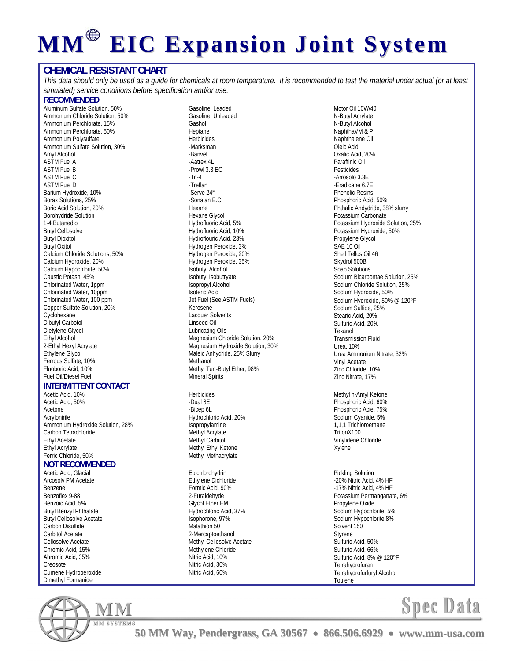# **MM EIC Expansion Joint System**

### **CHEMICAL RESISTANT CHART**

*This data should only be used as a guide for chemicals at room temperature. It is recommended to test the material under actual (or at least simulated) service conditions before specification and/or use.* 

#### **RECOMMENDED**

Aluminum Sulfate Solution, 50% Ammonium Chloride Solution, 50% Ammonium Perchlorate, 15% Ammonium Perchlorate, 50% Ammonium Polysulfate Ammonium Sulfate Solution, 30% Amyl Alcohol ASTM Fuel A ASTM Fuel B ASTM Fuel C ASTM Fuel D Barium Hydroxide, 10% Borax Solutions, 25% Boric Acid Solution, 20% Borohydride Solution 1-4 Butanediol Butyl Cellosolve Butyl Dioxitol Butyl Oxitol Calcium Chloride Solutions, 50% Calcium Hydroxide, 20% Calcium Hypochlorite, 50% Caustic Potash, 45% Chlorinated Water, 1ppm Chlorinated Water, 10ppm Chlorinated Water, 100 ppm Copper Sulfate Solution, 20% **Cyclohexane** Dibutyl Carbotol Dietylene Glycol Ethyl Alcohol 2-Ethyl Hexyl Acrylate Ethylene Glycol Ferrous Sulfate, 10% Fluoboric Acid, 10% Fuel Oil/Diesel Fuel

#### **INTERMITTENT CONTACT**

Acetic Acid, 10% Acetic Acid, 50% Acetone Acrylonirile Ammonium Hydroxide Solution, 28% Carbon Tetrachloride Ethyl Acetate Ethyl Acrylate Ferric Chloride, 50%

### **NOT RECOMMENDED**

Acetic Acid, Glacial Arcosolv PM Acetate Benzene Benzoflex 9-88 Benzoic Acid, 5% Butyl Benzyl Phthalate Butyl Cellosolve Acetate Carbon Disulfide Carbitol Acetate Cellosolve Acetate Chromic Acid, 15% Ahromic Acid, 35% Creosote Cumene Hydroperoxide Dimethyl Formanide



Gasoline, Leaded Gasoline, Unleaded Gashol Heptane Herbicides -Marksman -Banvel -Aatrex 4L -Prowl 3.3 EC -Tri-4 -Treflan -Serve 24E -Sonalan E.C. Hexane Hexane Glycol Hydrofluoric Acid, 5% Hydrofluoric Acid, 10% Hydroflouric Acid, 23% Hydrogen Peroxide, 3% Hydrogen Peroxide, 20% Hydrogen Peroxide, 35% Isobutyl Alcohol Isobutyl Isobutryate Isopropyl Alcohol Isoteric Acid Jet Fuel (See ASTM Fuels) Kerosene Lacquer Solvents Linseed Oil Lubricating Oils Magnesium Chloride Solution, 20% Magnesium Hydroxide Solution, 30% Maleic Anhydride, 25% Slurry Methanol Methyl Tert-Butyl Ether, 98% Mineral Spirits

Herbicides -Dual 8E -Bicep 6L Hydrochloric Acid, 20% Isopropylamine Methyl Acrylate Methyl Carbitol Methyl Ethyl Ketone Methyl Methacrylate

Epichlorohydrin Ethylene Dichloride Formic Acid, 90% 2-Furaldehyde Glycol Ether EM Hydrochloric Acid, 37% Isophorone, 97% Malathion 50 2-Mercaptoethanol Methyl Cellosolve Acetate Methylene Chloride Nitric Acid, 10% Nitric Acid, 30% Nitric Acid, 60%

Motor Oil 10W/40 N-Butyl Acrylate N-Butyl Alcohol NaphthaVM & P Naphthalene Oil Oleic Acid Oxalic Acid, 20% Paraffinic Oil Pesticides -Arrosolo 3.3E -Eradicane 6.7E Phenolic Resins Phosphoric Acid, 50% Phthalic Andydride, 38% slurry Potassium Carbonate Potassium Hydroxide Solution, 25% Potassium Hydroxide, 50% Propylene Glycol SAE 10 Oil Shell Tellus Oil 46 Skydrol 500B Soap Solutions Sodium Bicarbontae Solution, 25% Sodium Chloride Solution, 25% Sodium Hydroxide, 50% Sodium Hydroxide, 50% @ 120°F Sodium Sulfide, 25% Stearic Acid, 20% Sulfuric Acid, 20% Texanol Transmission Fluid Urea, 10% Urea Ammonium Nitrate, 32% Vinyl Acetate Zinc Chloride, 10% Zinc Nitrate, 17%

Methyl n-Amyl Ketone Phosphoric Acid, 60% Phosphoric Acie, 75% Sodium Cyanide, 5% 1,1,1 Trichloroethane TritonX100 Vinylidene Chloride Xylene

Pickling Solution -20% Nitric Acid, 4% HF -17% Nitric Acid, 4% HF Potassium Permanganate, 6% Propylene Oxide Sodium Hypochlorite, 5% Sodium Hypochlorite 8% Solvent 150 Styrene Sulfuric Acid, 50% Sulfuric Acid, 66% Sulfuric Acid, 8% @ 120°F Tetrahydrofuran Tetrahydrofurfuryl Alcohol Toulene